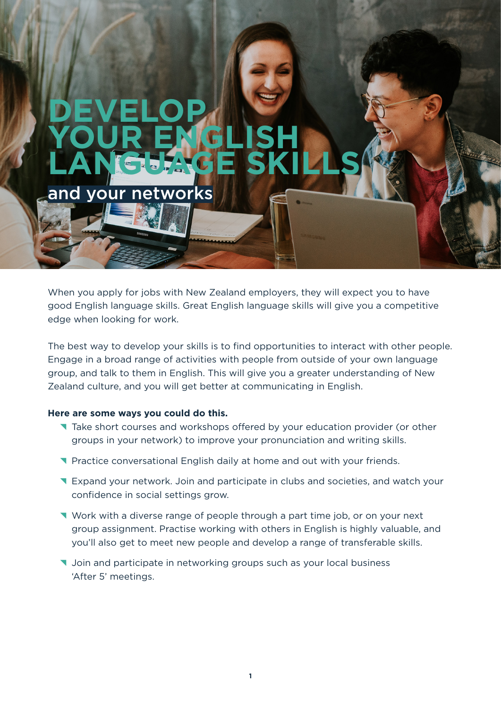# **DEVELOP YOUR ENGLISH LANGUAGE SKILLS** and your networks

When you apply for jobs with New Zealand employers, they will expect you to have good English language skills. Great English language skills will give you a competitive edge when looking for work.

The best way to develop your skills is to find opportunities to interact with other people. Engage in a broad range of activities with people from outside of your own language group, and talk to them in English. This will give you a greater understanding of New Zealand culture, and you will get better at communicating in English.

### **Here are some ways you could do this.**

- Take short courses and workshops offered by your education provider (or other groups in your network) to improve your pronunciation and writing skills.
- **T** Practice conversational English daily at home and out with your friends.
- **T** Expand your network. Join and participate in clubs and societies, and watch your confidence in social settings grow.
- ^ Work with a diverse range of people through a part time job, or on your next group assignment. Practise working with others in English is highly valuable, and you'll also get to meet new people and develop a range of transferable skills.
- **V** Join and participate in networking groups such as your local business 'After 5' meetings.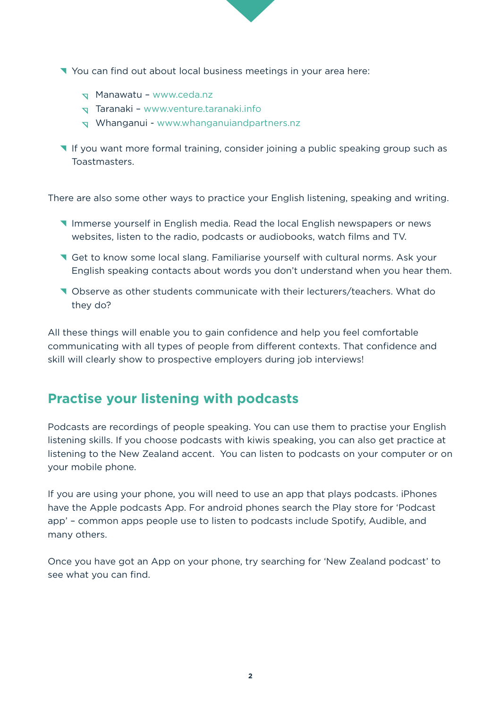

- $\sqrt{ }$  Manawatu www.ceda.nz
- $\sqrt{ }$  Taranaki www.venture.taranaki.info
- $\sigma$  Whanganui www.whanganuiandpartners.nz
- ^ If you want more formal training, consider joining a public speaking group such as Toastmasters.

There are also some other ways to practice your English listening, speaking and writing.

- **T** Immerse yourself in English media. Read the local English newspapers or news websites, listen to the radio, podcasts or audiobooks, watch films and TV.
- **T** Get to know some local slang. Familiarise yourself with cultural norms. Ask your English speaking contacts about words you don't understand when you hear them.
- ^ Observe as other students communicate with their lecturers/teachers. What do they do?

All these things will enable you to gain confidence and help you feel comfortable communicating with all types of people from different contexts. That confidence and skill will clearly show to prospective employers during job interviews!

# **Practise your listening with podcasts**

Podcasts are recordings of people speaking. You can use them to practise your English listening skills. If you choose podcasts with kiwis speaking, you can also get practice at listening to the New Zealand accent. You can listen to podcasts on your computer or on your mobile phone.

If you are using your phone, you will need to use an app that plays podcasts. iPhones have the Apple podcasts App. For android phones search the Play store for 'Podcast app' – common apps people use to listen to podcasts include Spotify, Audible, and many others.

Once you have got an App on your phone, try searching for 'New Zealand podcast' to see what you can find.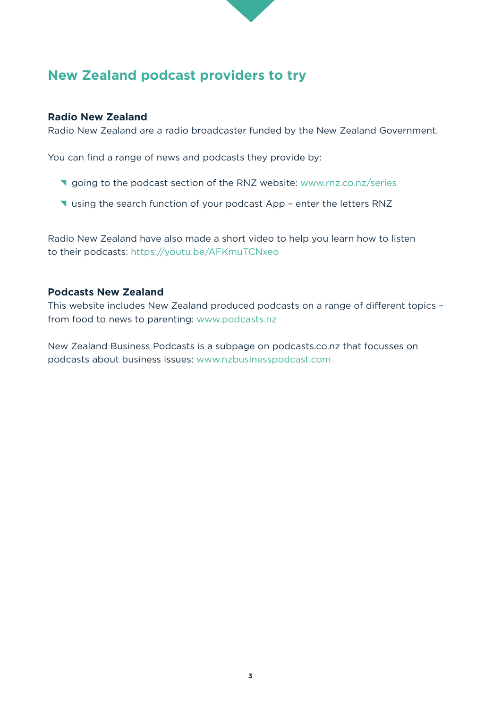

# **New Zealand podcast providers to try**

## **Radio New Zealand**

Radio New Zealand are a radio broadcaster funded by the New Zealand Government.

You can find a range of news and podcasts they provide by:

- **V** going to the podcast section of the RNZ website: www.rnz.co.nz/series
- **V** using the search function of your podcast App enter the letters RNZ

Radio New Zealand have also made a short video to help you learn how to listen to their podcasts: https://youtu.be/AFKmuTCNxeo

## **Podcasts New Zealand**

This website includes New Zealand produced podcasts on a range of different topics – from food to news to parenting: www.podcasts.nz

New Zealand Business Podcasts is a subpage on podcasts.co.nz that focusses on podcasts about business issues: www.nzbusinesspodcast.com